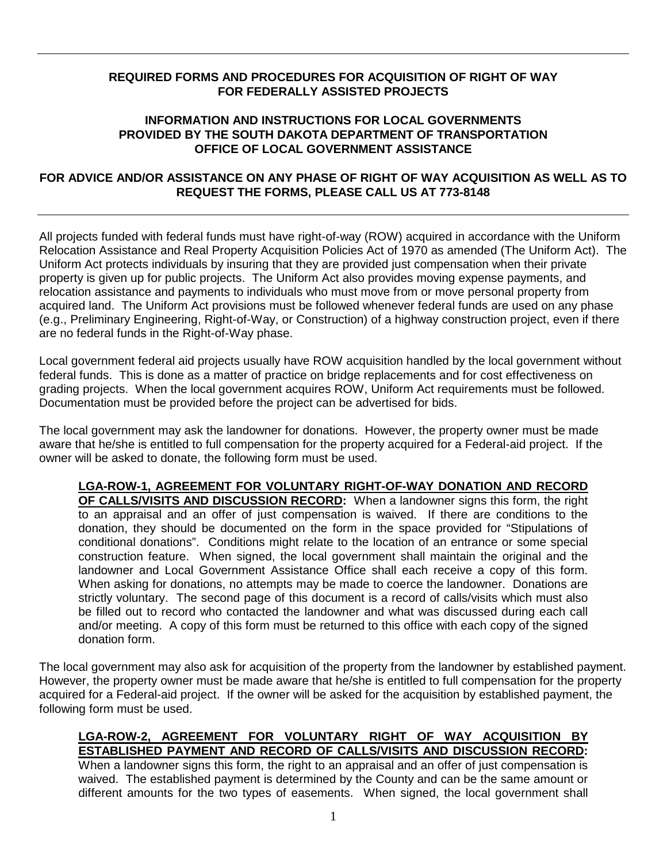## **REQUIRED FORMS AND PROCEDURES FOR ACQUISITION OF RIGHT OF WAY FOR FEDERALLY ASSISTED PROJECTS**

## **INFORMATION AND INSTRUCTIONS FOR LOCAL GOVERNMENTS PROVIDED BY THE SOUTH DAKOTA DEPARTMENT OF TRANSPORTATION OFFICE OF LOCAL GOVERNMENT ASSISTANCE**

## **FOR ADVICE AND/OR ASSISTANCE ON ANY PHASE OF RIGHT OF WAY ACQUISITION AS WELL AS TO REQUEST THE FORMS, PLEASE CALL US AT 773-8148**

All projects funded with federal funds must have right-of-way (ROW) acquired in accordance with the Uniform Relocation Assistance and Real Property Acquisition Policies Act of 1970 as amended (The Uniform Act). The Uniform Act protects individuals by insuring that they are provided just compensation when their private property is given up for public projects. The Uniform Act also provides moving expense payments, and relocation assistance and payments to individuals who must move from or move personal property from acquired land. The Uniform Act provisions must be followed whenever federal funds are used on any phase (e.g., Preliminary Engineering, Right-of-Way, or Construction) of a highway construction project, even if there are no federal funds in the Right-of-Way phase.

Local government federal aid projects usually have ROW acquisition handled by the local government without federal funds. This is done as a matter of practice on bridge replacements and for cost effectiveness on grading projects. When the local government acquires ROW, Uniform Act requirements must be followed. Documentation must be provided before the project can be advertised for bids.

The local government may ask the landowner for donations. However, the property owner must be made aware that he/she is entitled to full compensation for the property acquired for a Federal-aid project. If the owner will be asked to donate, the following form must be used.

**LGA-ROW-1, AGREEMENT FOR VOLUNTARY RIGHT-OF-WAY DONATION AND RECORD OF CALLS/VISITS AND DISCUSSION RECORD:** When a landowner signs this form, the right to an appraisal and an offer of just compensation is waived. If there are conditions to the donation, they should be documented on the form in the space provided for "Stipulations of conditional donations". Conditions might relate to the location of an entrance or some special construction feature. When signed, the local government shall maintain the original and the landowner and Local Government Assistance Office shall each receive a copy of this form. When asking for donations, no attempts may be made to coerce the landowner. Donations are strictly voluntary. The second page of this document is a record of calls/visits which must also be filled out to record who contacted the landowner and what was discussed during each call and/or meeting. A copy of this form must be returned to this office with each copy of the signed donation form.

The local government may also ask for acquisition of the property from the landowner by established payment. However, the property owner must be made aware that he/she is entitled to full compensation for the property acquired for a Federal-aid project. If the owner will be asked for the acquisition by established payment, the following form must be used.

## **LGA-ROW-2, AGREEMENT FOR VOLUNTARY RIGHT OF WAY ACQUISITION BY ESTABLISHED PAYMENT AND RECORD OF CALLS/VISITS AND DISCUSSION RECORD:**

When a landowner signs this form, the right to an appraisal and an offer of just compensation is waived. The established payment is determined by the County and can be the same amount or different amounts for the two types of easements. When signed, the local government shall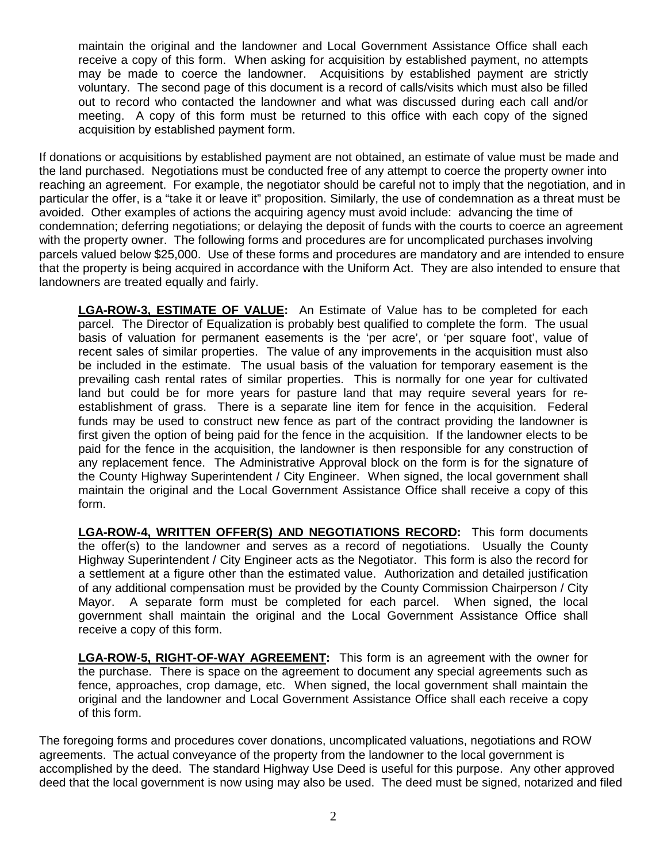maintain the original and the landowner and Local Government Assistance Office shall each receive a copy of this form. When asking for acquisition by established payment, no attempts may be made to coerce the landowner. Acquisitions by established payment are strictly voluntary. The second page of this document is a record of calls/visits which must also be filled out to record who contacted the landowner and what was discussed during each call and/or meeting. A copy of this form must be returned to this office with each copy of the signed acquisition by established payment form.

If donations or acquisitions by established payment are not obtained, an estimate of value must be made and the land purchased. Negotiations must be conducted free of any attempt to coerce the property owner into reaching an agreement. For example, the negotiator should be careful not to imply that the negotiation, and in particular the offer, is a "take it or leave it" proposition. Similarly, the use of condemnation as a threat must be avoided. Other examples of actions the acquiring agency must avoid include: advancing the time of condemnation; deferring negotiations; or delaying the deposit of funds with the courts to coerce an agreement with the property owner. The following forms and procedures are for uncomplicated purchases involving parcels valued below \$25,000. Use of these forms and procedures are mandatory and are intended to ensure that the property is being acquired in accordance with the Uniform Act. They are also intended to ensure that landowners are treated equally and fairly.

**LGA-ROW-3, ESTIMATE OF VALUE:** An Estimate of Value has to be completed for each parcel. The Director of Equalization is probably best qualified to complete the form. The usual basis of valuation for permanent easements is the 'per acre', or 'per square foot', value of recent sales of similar properties. The value of any improvements in the acquisition must also be included in the estimate. The usual basis of the valuation for temporary easement is the prevailing cash rental rates of similar properties. This is normally for one year for cultivated land but could be for more years for pasture land that may require several years for reestablishment of grass. There is a separate line item for fence in the acquisition. Federal funds may be used to construct new fence as part of the contract providing the landowner is first given the option of being paid for the fence in the acquisition. If the landowner elects to be paid for the fence in the acquisition, the landowner is then responsible for any construction of any replacement fence. The Administrative Approval block on the form is for the signature of the County Highway Superintendent / City Engineer. When signed, the local government shall maintain the original and the Local Government Assistance Office shall receive a copy of this form.

**LGA-ROW-4, WRITTEN OFFER(S) AND NEGOTIATIONS RECORD:** This form documents the offer(s) to the landowner and serves as a record of negotiations. Usually the County Highway Superintendent / City Engineer acts as the Negotiator. This form is also the record for a settlement at a figure other than the estimated value. Authorization and detailed justification of any additional compensation must be provided by the County Commission Chairperson / City Mayor. A separate form must be completed for each parcel. When signed, the local government shall maintain the original and the Local Government Assistance Office shall receive a copy of this form.

**LGA-ROW-5, RIGHT-OF-WAY AGREEMENT:** This form is an agreement with the owner for the purchase. There is space on the agreement to document any special agreements such as fence, approaches, crop damage, etc. When signed, the local government shall maintain the original and the landowner and Local Government Assistance Office shall each receive a copy of this form.

The foregoing forms and procedures cover donations, uncomplicated valuations, negotiations and ROW agreements. The actual conveyance of the property from the landowner to the local government is accomplished by the deed. The standard Highway Use Deed is useful for this purpose. Any other approved deed that the local government is now using may also be used. The deed must be signed, notarized and filed